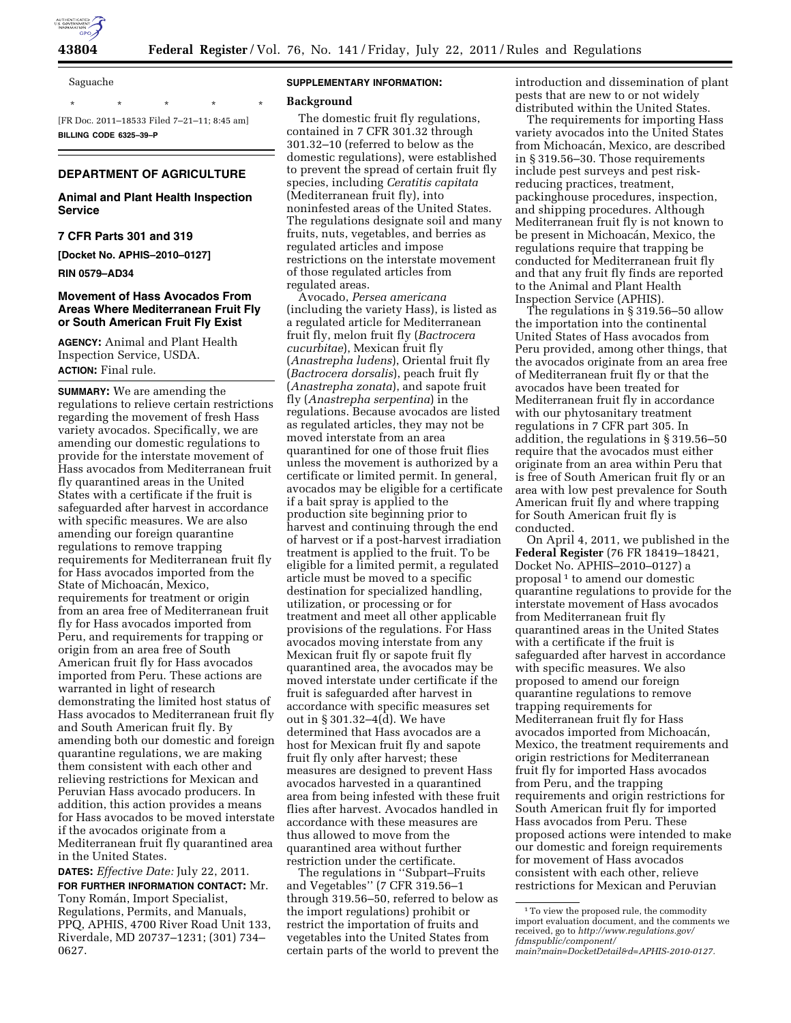

**43804 Federal Register** / Vol. 76, No. 141 / Friday, July 22, 2011 / Rules and Regulations

Saguache

\* \* \* \* \* [FR Doc. 2011–18533 Filed 7–21–11; 8:45 am] **BILLING CODE 6325–39–P** 

# **DEPARTMENT OF AGRICULTURE**

# **Animal and Plant Health Inspection Service**

## **7 CFR Parts 301 and 319**

**[Docket No. APHIS–2010–0127]** 

**RIN 0579–AD34** 

# **Movement of Hass Avocados From Areas Where Mediterranean Fruit Fly or South American Fruit Fly Exist**

**AGENCY:** Animal and Plant Health Inspection Service, USDA. **ACTION:** Final rule.

**SUMMARY:** We are amending the regulations to relieve certain restrictions regarding the movement of fresh Hass variety avocados. Specifically, we are amending our domestic regulations to provide for the interstate movement of Hass avocados from Mediterranean fruit fly quarantined areas in the United States with a certificate if the fruit is safeguarded after harvest in accordance with specific measures. We are also amending our foreign quarantine regulations to remove trapping requirements for Mediterranean fruit fly for Hass avocados imported from the State of Michoacán, Mexico, requirements for treatment or origin from an area free of Mediterranean fruit fly for Hass avocados imported from Peru, and requirements for trapping or origin from an area free of South American fruit fly for Hass avocados imported from Peru. These actions are warranted in light of research demonstrating the limited host status of Hass avocados to Mediterranean fruit fly and South American fruit fly. By amending both our domestic and foreign quarantine regulations, we are making them consistent with each other and relieving restrictions for Mexican and Peruvian Hass avocado producers. In addition, this action provides a means for Hass avocados to be moved interstate if the avocados originate from a Mediterranean fruit fly quarantined area in the United States.

**DATES:** *Effective Date:* July 22, 2011.

**FOR FURTHER INFORMATION CONTACT:** Mr. Tony Román, Import Specialist, Regulations, Permits, and Manuals, PPQ, APHIS, 4700 River Road Unit 133, Riverdale, MD 20737–1231; (301) 734– 0627.

### **SUPPLEMENTARY INFORMATION:**

### **Background**

The domestic fruit fly regulations, contained in 7 CFR 301.32 through 301.32–10 (referred to below as the domestic regulations), were established to prevent the spread of certain fruit fly species, including *Ceratitis capitata*  (Mediterranean fruit fly), into noninfested areas of the United States. The regulations designate soil and many fruits, nuts, vegetables, and berries as regulated articles and impose restrictions on the interstate movement of those regulated articles from regulated areas.

Avocado, *Persea americana*  (including the variety Hass), is listed as a regulated article for Mediterranean fruit fly, melon fruit fly (*Bactrocera cucurbitae*), Mexican fruit fly (*Anastrepha ludens*), Oriental fruit fly (*Bactrocera dorsalis*), peach fruit fly (*Anastrepha zonata*), and sapote fruit fly (*Anastrepha serpentina*) in the regulations. Because avocados are listed as regulated articles, they may not be moved interstate from an area quarantined for one of those fruit flies unless the movement is authorized by a certificate or limited permit. In general, avocados may be eligible for a certificate if a bait spray is applied to the production site beginning prior to harvest and continuing through the end of harvest or if a post-harvest irradiation treatment is applied to the fruit. To be eligible for a limited permit, a regulated article must be moved to a specific destination for specialized handling, utilization, or processing or for treatment and meet all other applicable provisions of the regulations. For Hass avocados moving interstate from any Mexican fruit fly or sapote fruit fly quarantined area, the avocados may be moved interstate under certificate if the fruit is safeguarded after harvest in accordance with specific measures set out in § 301.32–4(d). We have determined that Hass avocados are a host for Mexican fruit fly and sapote fruit fly only after harvest; these measures are designed to prevent Hass avocados harvested in a quarantined area from being infested with these fruit flies after harvest. Avocados handled in accordance with these measures are thus allowed to move from the quarantined area without further restriction under the certificate.

The regulations in ''Subpart–Fruits and Vegetables'' (7 CFR 319.56–1 through 319.56–50, referred to below as the import regulations) prohibit or restrict the importation of fruits and vegetables into the United States from certain parts of the world to prevent the introduction and dissemination of plant pests that are new to or not widely distributed within the United States.

The requirements for importing Hass variety avocados into the United States from Michoacán, Mexico, are described in § 319.56–30. Those requirements include pest surveys and pest riskreducing practices, treatment, packinghouse procedures, inspection, and shipping procedures. Although Mediterranean fruit fly is not known to be present in Michoacán, Mexico, the regulations require that trapping be conducted for Mediterranean fruit fly and that any fruit fly finds are reported to the Animal and Plant Health Inspection Service (APHIS).

The regulations in § 319.56–50 allow the importation into the continental United States of Hass avocados from Peru provided, among other things, that the avocados originate from an area free of Mediterranean fruit fly or that the avocados have been treated for Mediterranean fruit fly in accordance with our phytosanitary treatment regulations in 7 CFR part 305. In addition, the regulations in § 319.56–50 require that the avocados must either originate from an area within Peru that is free of South American fruit fly or an area with low pest prevalence for South American fruit fly and where trapping for South American fruit fly is conducted.

On April 4, 2011, we published in the **Federal Register** (76 FR 18419–18421, Docket No. APHIS–2010–0127) a proposal 1 to amend our domestic quarantine regulations to provide for the interstate movement of Hass avocados from Mediterranean fruit fly quarantined areas in the United States with a certificate if the fruit is safeguarded after harvest in accordance with specific measures. We also proposed to amend our foreign quarantine regulations to remove trapping requirements for Mediterranean fruit fly for Hass avocados imported from Michoacán, Mexico, the treatment requirements and origin restrictions for Mediterranean fruit fly for imported Hass avocados from Peru, and the trapping requirements and origin restrictions for South American fruit fly for imported Hass avocados from Peru. These proposed actions were intended to make our domestic and foreign requirements for movement of Hass avocados consistent with each other, relieve restrictions for Mexican and Peruvian

<sup>&</sup>lt;sup>1</sup>To view the proposed rule, the commodity import evaluation document, and the comments we received, go to *[http://www.regulations.gov/](http://www.regulations.gov/fdmspublic/component/main?main=DocketDetail&d=APHIS-2010-0127)  [fdmspublic/component/](http://www.regulations.gov/fdmspublic/component/main?main=DocketDetail&d=APHIS-2010-0127)* 

*[main?main=DocketDetail&d=APHIS-2010-0127.](http://www.regulations.gov/fdmspublic/component/main?main=DocketDetail&d=APHIS-2010-0127)*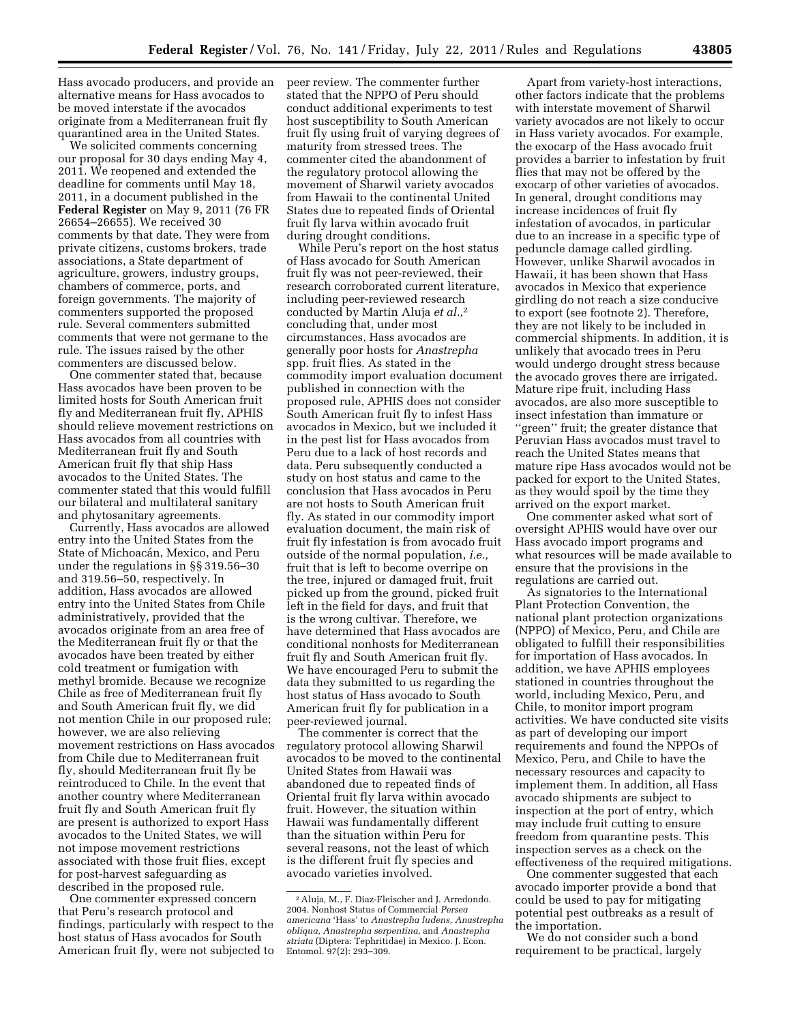Hass avocado producers, and provide an alternative means for Hass avocados to be moved interstate if the avocados originate from a Mediterranean fruit fly quarantined area in the United States.

We solicited comments concerning our proposal for 30 days ending May 4, 2011. We reopened and extended the deadline for comments until May 18, 2011, in a document published in the **Federal Register** on May 9, 2011 (76 FR 26654–26655). We received 30 comments by that date. They were from private citizens, customs brokers, trade associations, a State department of agriculture, growers, industry groups, chambers of commerce, ports, and foreign governments. The majority of commenters supported the proposed rule. Several commenters submitted comments that were not germane to the rule. The issues raised by the other commenters are discussed below.

One commenter stated that, because Hass avocados have been proven to be limited hosts for South American fruit fly and Mediterranean fruit fly, APHIS should relieve movement restrictions on Hass avocados from all countries with Mediterranean fruit fly and South American fruit fly that ship Hass avocados to the United States. The commenter stated that this would fulfill our bilateral and multilateral sanitary and phytosanitary agreements.

Currently, Hass avocados are allowed entry into the United States from the State of Michoacán, Mexico, and Peru under the regulations in §§ 319.56–30 and 319.56–50, respectively. In addition, Hass avocados are allowed entry into the United States from Chile administratively, provided that the avocados originate from an area free of the Mediterranean fruit fly or that the avocados have been treated by either cold treatment or fumigation with methyl bromide. Because we recognize Chile as free of Mediterranean fruit fly and South American fruit fly, we did not mention Chile in our proposed rule; however, we are also relieving movement restrictions on Hass avocados from Chile due to Mediterranean fruit fly, should Mediterranean fruit fly be reintroduced to Chile. In the event that another country where Mediterranean fruit fly and South American fruit fly are present is authorized to export Hass avocados to the United States, we will not impose movement restrictions associated with those fruit flies, except for post-harvest safeguarding as described in the proposed rule.

One commenter expressed concern that Peru's research protocol and findings, particularly with respect to the host status of Hass avocados for South American fruit fly, were not subjected to peer review. The commenter further stated that the NPPO of Peru should conduct additional experiments to test host susceptibility to South American fruit fly using fruit of varying degrees of maturity from stressed trees. The commenter cited the abandonment of the regulatory protocol allowing the movement of Sharwil variety avocados from Hawaii to the continental United States due to repeated finds of Oriental fruit fly larva within avocado fruit during drought conditions.

While Peru's report on the host status of Hass avocado for South American fruit fly was not peer-reviewed, their research corroborated current literature, including peer-reviewed research conducted by Martin Aluja *et al.,*2 concluding that, under most circumstances, Hass avocados are generally poor hosts for *Anastrepha*  spp. fruit flies. As stated in the commodity import evaluation document published in connection with the proposed rule, APHIS does not consider South American fruit fly to infest Hass avocados in Mexico, but we included it in the pest list for Hass avocados from Peru due to a lack of host records and data. Peru subsequently conducted a study on host status and came to the conclusion that Hass avocados in Peru are not hosts to South American fruit fly. As stated in our commodity import evaluation document, the main risk of fruit fly infestation is from avocado fruit outside of the normal population, *i.e.,*  fruit that is left to become overripe on the tree, injured or damaged fruit, fruit picked up from the ground, picked fruit left in the field for days, and fruit that is the wrong cultivar. Therefore, we have determined that Hass avocados are conditional nonhosts for Mediterranean fruit fly and South American fruit fly. We have encouraged Peru to submit the data they submitted to us regarding the host status of Hass avocado to South American fruit fly for publication in a peer-reviewed journal.

The commenter is correct that the regulatory protocol allowing Sharwil avocados to be moved to the continental United States from Hawaii was abandoned due to repeated finds of Oriental fruit fly larva within avocado fruit. However, the situation within Hawaii was fundamentally different than the situation within Peru for several reasons, not the least of which is the different fruit fly species and avocado varieties involved.

Apart from variety-host interactions, other factors indicate that the problems with interstate movement of Sharwil variety avocados are not likely to occur in Hass variety avocados. For example, the exocarp of the Hass avocado fruit provides a barrier to infestation by fruit flies that may not be offered by the exocarp of other varieties of avocados. In general, drought conditions may increase incidences of fruit fly infestation of avocados, in particular due to an increase in a specific type of peduncle damage called girdling. However, unlike Sharwil avocados in Hawaii, it has been shown that Hass avocados in Mexico that experience girdling do not reach a size conducive to export (see footnote 2). Therefore, they are not likely to be included in commercial shipments. In addition, it is unlikely that avocado trees in Peru would undergo drought stress because the avocado groves there are irrigated. Mature ripe fruit, including Hass avocados, are also more susceptible to insect infestation than immature or ''green'' fruit; the greater distance that Peruvian Hass avocados must travel to reach the United States means that mature ripe Hass avocados would not be packed for export to the United States, as they would spoil by the time they arrived on the export market.

One commenter asked what sort of oversight APHIS would have over our Hass avocado import programs and what resources will be made available to ensure that the provisions in the regulations are carried out.

As signatories to the International Plant Protection Convention, the national plant protection organizations (NPPO) of Mexico, Peru, and Chile are obligated to fulfill their responsibilities for importation of Hass avocados. In addition, we have APHIS employees stationed in countries throughout the world, including Mexico, Peru, and Chile, to monitor import program activities. We have conducted site visits as part of developing our import requirements and found the NPPOs of Mexico, Peru, and Chile to have the necessary resources and capacity to implement them. In addition, all Hass avocado shipments are subject to inspection at the port of entry, which may include fruit cutting to ensure freedom from quarantine pests. This inspection serves as a check on the effectiveness of the required mitigations.

One commenter suggested that each avocado importer provide a bond that could be used to pay for mitigating potential pest outbreaks as a result of the importation.

We do not consider such a bond requirement to be practical, largely

<sup>2</sup>Aluja, M., F. Diaz-Fleischer and J. Arredondo. 2004. Nonhost Status of Commercial *Persea americana* 'Hass' to *Anastrepha ludens, Anastrepha obliqua, Anastrepha serpentina,* and *Anastrepha striata* (Diptera: Tephritidae) in Mexico. J. Econ. Entomol. 97(2): 293–309.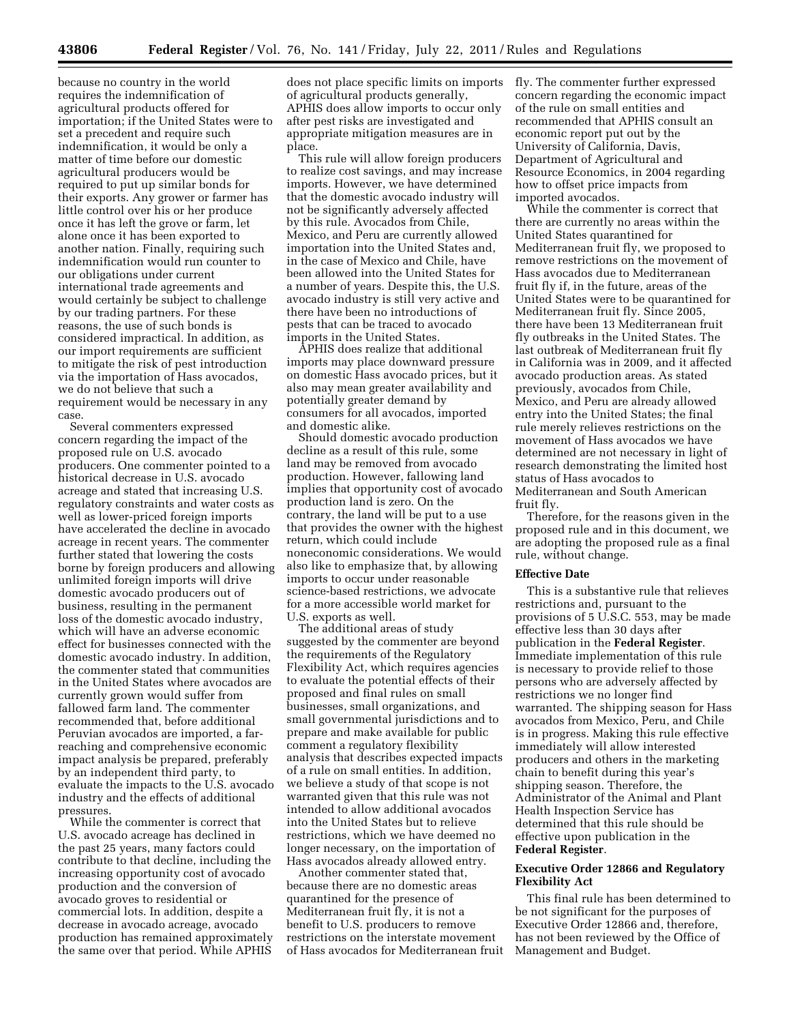because no country in the world requires the indemnification of agricultural products offered for importation; if the United States were to set a precedent and require such indemnification, it would be only a matter of time before our domestic agricultural producers would be required to put up similar bonds for their exports. Any grower or farmer has little control over his or her produce once it has left the grove or farm, let alone once it has been exported to another nation. Finally, requiring such indemnification would run counter to our obligations under current international trade agreements and would certainly be subject to challenge by our trading partners. For these reasons, the use of such bonds is considered impractical. In addition, as our import requirements are sufficient to mitigate the risk of pest introduction via the importation of Hass avocados, we do not believe that such a requirement would be necessary in any case.

Several commenters expressed concern regarding the impact of the proposed rule on U.S. avocado producers. One commenter pointed to a historical decrease in U.S. avocado acreage and stated that increasing U.S. regulatory constraints and water costs as well as lower-priced foreign imports have accelerated the decline in avocado acreage in recent years. The commenter further stated that lowering the costs borne by foreign producers and allowing unlimited foreign imports will drive domestic avocado producers out of business, resulting in the permanent loss of the domestic avocado industry, which will have an adverse economic effect for businesses connected with the domestic avocado industry. In addition, the commenter stated that communities in the United States where avocados are currently grown would suffer from fallowed farm land. The commenter recommended that, before additional Peruvian avocados are imported, a farreaching and comprehensive economic impact analysis be prepared, preferably by an independent third party, to evaluate the impacts to the U.S. avocado industry and the effects of additional pressures.

While the commenter is correct that U.S. avocado acreage has declined in the past 25 years, many factors could contribute to that decline, including the increasing opportunity cost of avocado production and the conversion of avocado groves to residential or commercial lots. In addition, despite a decrease in avocado acreage, avocado production has remained approximately the same over that period. While APHIS

does not place specific limits on imports of agricultural products generally, APHIS does allow imports to occur only after pest risks are investigated and appropriate mitigation measures are in place.

This rule will allow foreign producers to realize cost savings, and may increase imports. However, we have determined that the domestic avocado industry will not be significantly adversely affected by this rule. Avocados from Chile, Mexico, and Peru are currently allowed importation into the United States and, in the case of Mexico and Chile, have been allowed into the United States for a number of years. Despite this, the U.S. avocado industry is still very active and there have been no introductions of pests that can be traced to avocado imports in the United States.

APHIS does realize that additional imports may place downward pressure on domestic Hass avocado prices, but it also may mean greater availability and potentially greater demand by consumers for all avocados, imported and domestic alike.

Should domestic avocado production decline as a result of this rule, some land may be removed from avocado production. However, fallowing land implies that opportunity cost of avocado production land is zero. On the contrary, the land will be put to a use that provides the owner with the highest return, which could include noneconomic considerations. We would also like to emphasize that, by allowing imports to occur under reasonable science-based restrictions, we advocate for a more accessible world market for U.S. exports as well.

The additional areas of study suggested by the commenter are beyond the requirements of the Regulatory Flexibility Act, which requires agencies to evaluate the potential effects of their proposed and final rules on small businesses, small organizations, and small governmental jurisdictions and to prepare and make available for public comment a regulatory flexibility analysis that describes expected impacts of a rule on small entities. In addition, we believe a study of that scope is not warranted given that this rule was not intended to allow additional avocados into the United States but to relieve restrictions, which we have deemed no longer necessary, on the importation of Hass avocados already allowed entry.

Another commenter stated that, because there are no domestic areas quarantined for the presence of Mediterranean fruit fly, it is not a benefit to U.S. producers to remove restrictions on the interstate movement of Hass avocados for Mediterranean fruit fly. The commenter further expressed concern regarding the economic impact of the rule on small entities and recommended that APHIS consult an economic report put out by the University of California, Davis, Department of Agricultural and Resource Economics, in 2004 regarding how to offset price impacts from imported avocados.

While the commenter is correct that there are currently no areas within the United States quarantined for Mediterranean fruit fly, we proposed to remove restrictions on the movement of Hass avocados due to Mediterranean fruit fly if, in the future, areas of the United States were to be quarantined for Mediterranean fruit fly. Since 2005, there have been 13 Mediterranean fruit fly outbreaks in the United States. The last outbreak of Mediterranean fruit fly in California was in 2009, and it affected avocado production areas. As stated previously, avocados from Chile, Mexico, and Peru are already allowed entry into the United States; the final rule merely relieves restrictions on the movement of Hass avocados we have determined are not necessary in light of research demonstrating the limited host status of Hass avocados to Mediterranean and South American fruit fly.

Therefore, for the reasons given in the proposed rule and in this document, we are adopting the proposed rule as a final rule, without change.

### **Effective Date**

This is a substantive rule that relieves restrictions and, pursuant to the provisions of 5 U.S.C. 553, may be made effective less than 30 days after publication in the **Federal Register**. Immediate implementation of this rule is necessary to provide relief to those persons who are adversely affected by restrictions we no longer find warranted. The shipping season for Hass avocados from Mexico, Peru, and Chile is in progress. Making this rule effective immediately will allow interested producers and others in the marketing chain to benefit during this year's shipping season. Therefore, the Administrator of the Animal and Plant Health Inspection Service has determined that this rule should be effective upon publication in the **Federal Register**.

## **Executive Order 12866 and Regulatory Flexibility Act**

This final rule has been determined to be not significant for the purposes of Executive Order 12866 and, therefore, has not been reviewed by the Office of Management and Budget.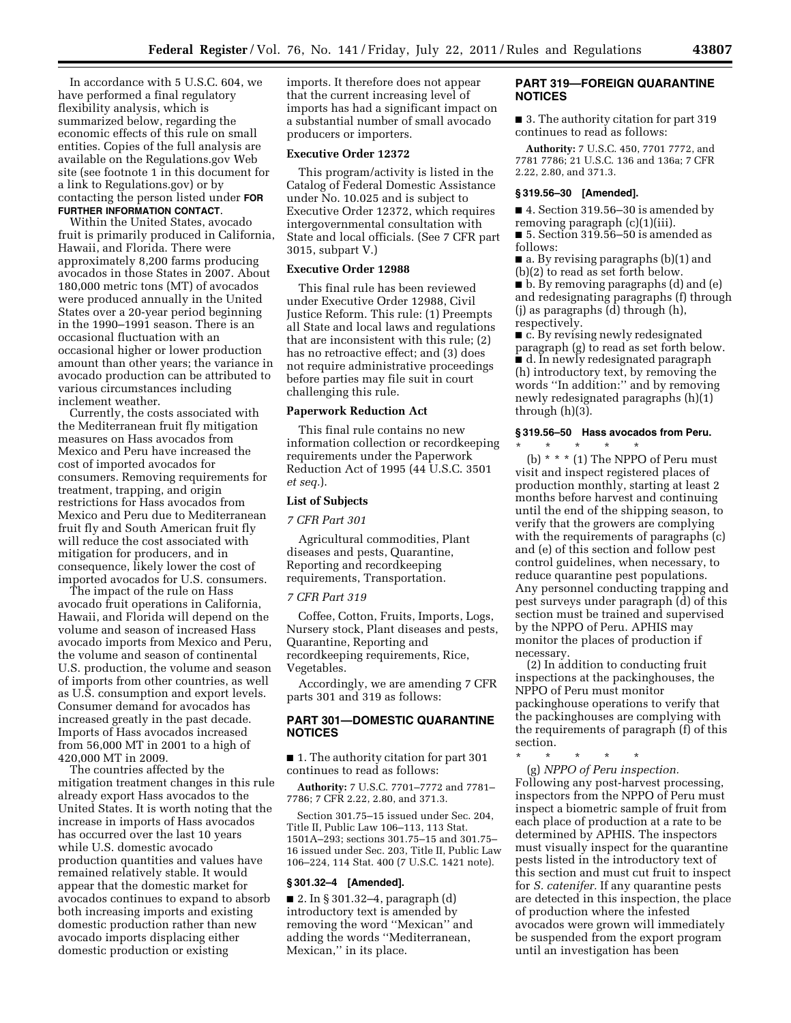In accordance with 5 U.S.C. 604, we have performed a final regulatory flexibility analysis, which is summarized below, regarding the economic effects of this rule on small entities. Copies of the full analysis are available on the Regulations.gov Web site (see footnote 1 in this document for a link to Regulations.gov) or by contacting the person listed under **FOR FURTHER INFORMATION CONTACT**.

Within the United States, avocado fruit is primarily produced in California, Hawaii, and Florida. There were approximately 8,200 farms producing avocados in those States in 2007. About 180,000 metric tons (MT) of avocados were produced annually in the United States over a 20-year period beginning in the 1990–1991 season. There is an occasional fluctuation with an occasional higher or lower production amount than other years; the variance in avocado production can be attributed to various circumstances including inclement weather.

Currently, the costs associated with the Mediterranean fruit fly mitigation measures on Hass avocados from Mexico and Peru have increased the cost of imported avocados for consumers. Removing requirements for treatment, trapping, and origin restrictions for Hass avocados from Mexico and Peru due to Mediterranean fruit fly and South American fruit fly will reduce the cost associated with mitigation for producers, and in consequence, likely lower the cost of imported avocados for U.S. consumers.

The impact of the rule on Hass avocado fruit operations in California, Hawaii, and Florida will depend on the volume and season of increased Hass avocado imports from Mexico and Peru, the volume and season of continental U.S. production, the volume and season of imports from other countries, as well as U.S. consumption and export levels. Consumer demand for avocados has increased greatly in the past decade. Imports of Hass avocados increased from 56,000 MT in 2001 to a high of 420,000 MT in 2009.

The countries affected by the mitigation treatment changes in this rule already export Hass avocados to the United States. It is worth noting that the increase in imports of Hass avocados has occurred over the last 10 years while U.S. domestic avocado production quantities and values have remained relatively stable. It would appear that the domestic market for avocados continues to expand to absorb both increasing imports and existing domestic production rather than new avocado imports displacing either domestic production or existing

imports. It therefore does not appear that the current increasing level of imports has had a significant impact on a substantial number of small avocado producers or importers.

### **Executive Order 12372**

This program/activity is listed in the Catalog of Federal Domestic Assistance under No. 10.025 and is subject to Executive Order 12372, which requires intergovernmental consultation with State and local officials. (See 7 CFR part 3015, subpart V.)

# **Executive Order 12988**

This final rule has been reviewed under Executive Order 12988, Civil Justice Reform. This rule: (1) Preempts all State and local laws and regulations that are inconsistent with this rule; (2) has no retroactive effect; and (3) does not require administrative proceedings before parties may file suit in court challenging this rule.

#### **Paperwork Reduction Act**

This final rule contains no new information collection or recordkeeping requirements under the Paperwork Reduction Act of 1995 (44 U.S.C. 3501 *et seq.*).

### **List of Subjects**

### *7 CFR Part 301*

Agricultural commodities, Plant diseases and pests, Quarantine, Reporting and recordkeeping requirements, Transportation.

#### *7 CFR Part 319*

Coffee, Cotton, Fruits, Imports, Logs, Nursery stock, Plant diseases and pests, Quarantine, Reporting and recordkeeping requirements, Rice, Vegetables.

Accordingly, we are amending 7 CFR parts 301 and 319 as follows:

# **PART 301—DOMESTIC QUARANTINE NOTICES**

■ 1. The authority citation for part 301 continues to read as follows:

**Authority:** 7 U.S.C. 7701–7772 and 7781– 7786; 7 CFR 2.22, 2.80, and 371.3.

Section 301.75–15 issued under Sec. 204, Title II, Public Law 106–113, 113 Stat. 1501A–293; sections 301.75–15 and 301.75– 16 issued under Sec. 203, Title II, Public Law 106–224, 114 Stat. 400 (7 U.S.C. 1421 note).

#### **§ 301.32–4 [Amended].**

■ 2. In § 301.32–4, paragraph (d) introductory text is amended by removing the word ''Mexican'' and adding the words ''Mediterranean, Mexican,'' in its place.

## **PART 319—FOREIGN QUARANTINE NOTICES**

■ 3. The authority citation for part 319 continues to read as follows:

**Authority:** 7 U.S.C. 450, 7701 7772, and 7781 7786; 21 U.S.C. 136 and 136a; 7 CFR 2.22, 2.80, and 371.3.

#### **§ 319.56–30 [Amended].**

■ 4. Section 319.56–30 is amended by removing paragraph (c)(1)(iii).

■ 5. Section 319.56–50 is amended as follows:

■ a. By revising paragraphs (b)(1) and (b)(2) to read as set forth below.

■ b. By removing paragraphs (d) and (e) and redesignating paragraphs (f) through (j) as paragraphs (d) through (h), respectively.

■ c. By revising newly redesignated paragraph (g) to read as set forth below. ■ d. In newly redesignated paragraph (h) introductory text, by removing the words ''In addition:'' and by removing newly redesignated paragraphs (h)(1) through (h)(3).

### **§ 319.56–50 Hass avocados from Peru.**  \* \* \* \* \*

(b)  $* * * (1)$  The NPPO of Peru must visit and inspect registered places of production monthly, starting at least 2 months before harvest and continuing until the end of the shipping season, to verify that the growers are complying with the requirements of paragraphs (c) and (e) of this section and follow pest control guidelines, when necessary, to reduce quarantine pest populations. Any personnel conducting trapping and pest surveys under paragraph (d) of this section must be trained and supervised by the NPPO of Peru. APHIS may monitor the places of production if necessary.

(2) In addition to conducting fruit inspections at the packinghouses, the NPPO of Peru must monitor packinghouse operations to verify that the packinghouses are complying with the requirements of paragraph (f) of this section.

\* \* \* \* \*

(g) *NPPO of Peru inspection.*  Following any post-harvest processing, inspectors from the NPPO of Peru must inspect a biometric sample of fruit from each place of production at a rate to be determined by APHIS. The inspectors must visually inspect for the quarantine pests listed in the introductory text of this section and must cut fruit to inspect for *S. catenifer.* If any quarantine pests are detected in this inspection, the place of production where the infested avocados were grown will immediately be suspended from the export program until an investigation has been